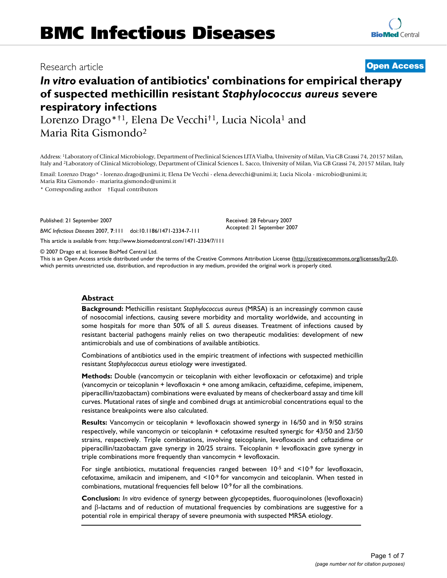# Research article **[Open Access](http://www.biomedcentral.com/info/about/charter/)**

# *In vitro* **evaluation of antibiotics' combinations for empirical therapy of suspected methicillin resistant** *Staphylococcus aureus* **severe respiratory infections**

Lorenzo Drago\*†1, Elena De Vecchi†1, Lucia Nicola1 and Maria Rita Gismondo2

Address: 1Laboratory of Clinical Microbiology, Department of Preclinical Sciences LITA Vialba, University of Milan, Via GB Grassi 74, 20157 Milan, Italy and 2Laboratory of Clinical Microbiology, Department of Clinical Sciences L. Sacco, University of Milan, Via GB Grassi 74, 20157 Milan, Italy

Email: Lorenzo Drago\* - lorenzo.drago@unimi.it; Elena De Vecchi - elena.devecchi@unimi.it; Lucia Nicola - microbio@unimi.it; Maria Rita Gismondo - mariarita.gismondo@unimi.it

\* Corresponding author †Equal contributors

Published: 21 September 2007

*BMC Infectious Diseases* 2007, **7**:111 doi:10.1186/1471-2334-7-111

[This article is available from: http://www.biomedcentral.com/1471-2334/7/111](http://www.biomedcentral.com/1471-2334/7/111)

© 2007 Drago et al; licensee BioMed Central Ltd.

This is an Open Access article distributed under the terms of the Creative Commons Attribution License [\(http://creativecommons.org/licenses/by/2.0\)](http://creativecommons.org/licenses/by/2.0), which permits unrestricted use, distribution, and reproduction in any medium, provided the original work is properly cited.

#### **Abstract**

**Background:** Methicillin resistant *Staphylococcus aureus* (MRSA) is an increasingly common cause of nosocomial infections, causing severe morbidity and mortality worldwide, and accounting in some hospitals for more than 50% of all *S. aureus* diseases. Treatment of infections caused by resistant bacterial pathogens mainly relies on two therapeutic modalities: development of new antimicrobials and use of combinations of available antibiotics.

Combinations of antibiotics used in the empiric treatment of infections with suspected methicillin resistant *Staphylococcus aureus* etiology were investigated.

**Methods:** Double (vancomycin or teicoplanin with either levofloxacin or cefotaxime) and triple (vancomycin or teicoplanin + levofloxacin + one among amikacin, ceftazidime, cefepime, imipenem, piperacillin/tazobactam) combinations were evaluated by means of checkerboard assay and time kill curves. Mutational rates of single and combined drugs at antimicrobial concentrations equal to the resistance breakpoints were also calculated.

**Results:** Vancomycin or teicoplanin + levofloxacin showed synergy in 16/50 and in 9/50 strains respectively, while vancomycin or teicoplanin + cefotaxime resulted synergic for 43/50 and 23/50 strains, respectively. Triple combinations, involving teicoplanin, levofloxacin and ceftazidime or piperacillin/tazobactam gave synergy in 20/25 strains. Teicoplanin + levofloxacin gave synergy in triple combinations more frequently than vancomycin + levofloxacin.

For single antibiotics, mutational frequencies ranged between  $10^{-5}$  and  $\leq 10^{-9}$  for levofloxacin, cefotaxime, amikacin and imipenem, and <10-9 for vancomycin and teicoplanin. When tested in combinations, mutational frequencies fell below 10-9 for all the combinations.

**Conclusion:** *In vitro* evidence of synergy between glycopeptides, fluoroquinolones (levofloxacin) and β-lactams and of reduction of mutational frequencies by combinations are suggestive for a potential role in empirical therapy of severe pneumonia with suspected MRSA etiology.

Received: 28 February 2007 Accepted: 21 September 2007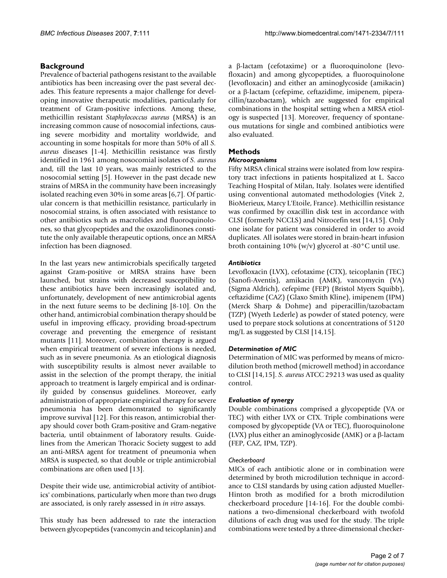# **Background**

Prevalence of bacterial pathogens resistant to the available antibiotics has been increasing over the past several decades. This feature represents a major challenge for developing innovative therapeutic modalities, particularly for treatment of Gram-positive infections. Among these, methicillin resistant *Staphylococcus aureus* (MRSA) is an increasing common cause of nosocomial infections, causing severe morbidity and mortality worldwide, and accounting in some hospitals for more than 50% of all *S. aureus* diseases [1-4]. Methicillin resistance was firstly identified in 1961 among nosocomial isolates of *S. aureus* and, till the last 10 years, was mainly restricted to the nosocomial setting [5]. However in the past decade new strains of MRSA in the community have been increasingly isolated reaching even 30% in some areas [6,7]. Of particular concern is that methicillin resistance, particularly in nosocomial strains, is often associated with resistance to other antibiotics such as macrolides and fluoroquinolones, so that glycopeptides and the oxazolidinones constitute the only available therapeutic options, once an MRSA infection has been diagnosed.

In the last years new antimicrobials specifically targeted against Gram-positive or MRSA strains have been launched, but strains with decreased susceptibility to these antibiotics have been increasingly isolated and, unfortunately, development of new antimicrobial agents in the next future seems to be declining [8-10]. On the other hand, antimicrobial combination therapy should be useful in improving efficacy, providing broad-spectrum coverage and preventing the emergence of resistant mutants [11]. Moreover, combination therapy is argued when empirical treatment of severe infections is needed, such as in severe pneumonia. As an etiological diagnosis with susceptibility results is almost never available to assist in the selection of the prompt therapy, the initial approach to treatment is largely empirical and is ordinarily guided by consensus guidelines. Moreover, early administration of appropriate empirical therapy for severe pneumonia has been demonstrated to significantly improve survival [12]. For this reason, antimicrobial therapy should cover both Gram-positive and Gram-negative bacteria, until obtainment of laboratory results. Guidelines from the American Thoracic Society suggest to add an anti-MRSA agent for treatment of pneumonia when MRSA is suspected, so that double or triple antimicrobial combinations are often used [13].

Despite their wide use, antimicrobial activity of antibiotics' combinations, particularly when more than two drugs are associated, is only rarely assessed in *in vitro* assays.

This study has been addressed to rate the interaction between glycopeptides (vancomycin and teicoplanin) and a β-lactam (cefotaxime) or a fluoroquinolone (levofloxacin) and among glycopeptides, a fluoroquinolone (levofloxacin) and either an aminoglycoside (amikacin) or a β-lactam (cefepime, ceftazidime, imipenem, piperacillin/tazobactam), which are suggested for empirical combinations in the hospital setting when a MRSA etiology is suspected [13]. Moreover, frequency of spontaneous mutations for single and combined antibiotics were also evaluated.

# **Methods**

# *Microorganisms*

Fifty MRSA clinical strains were isolated from low respiratory tract infections in patients hospitalized at L. Sacco Teaching Hospital of Milan, Italy. Isolates were identified using conventional automated methodologies (Vitek 2, BioMerieux, Marcy L'Etoile, France). Methicillin resistance was confirmed by oxacillin disk test in accordance with CLSI (formerly NCCLS) and Nitrocefin test [14,15]. Only one isolate for patient was considered in order to avoid duplicates. All isolates were stored in brain-heart infusion broth containing 10% (w/v) glycerol at -80°C until use.

# *Antibiotics*

Levofloxacin (LVX), cefotaxime (CTX), teicoplanin (TEC) (Sanofi-Aventis), amikacin (AMK), vancomycin (VA) (Sigma Aldrich), cefepime (FEP) (Bristol Myers Squibb), ceftazidime (CAZ) (Glaxo Smith Kline), imipenem (IPM) (Merck Sharp & Dohme) and piperacillin/tazobactam (TZP) (Wyeth Lederle) as powder of stated potency, were used to prepare stock solutions at concentrations of 5120 mg/L as suggested by CLSI [14,15].

# *Determination of MIC*

Determination of MIC was performed by means of microdilution broth method (microwell method) in accordance to CLSI [14,15]. *S. aureus* ATCC 29213 was used as quality control.

# *Evaluation of synergy*

Double combinations comprised a glycopeptide (VA or TEC) with either LVX or CTX. Triple combinations were composed by glycopeptide (VA or TEC), fluoroquinolone (LVX) plus either an aminoglycoside (AMK) or a β-lactam (FEP, CAZ, IPM, TZP).

# *Checkerboard*

MICs of each antibiotic alone or in combination were determined by broth microdilution technique in accordance to CLSI standards by using cation adjusted Mueller-Hinton broth as modified for a broth microdilution checkerboard procedure [14-16]. For the double combinations a two-dimensional checkerboard with twofold dilutions of each drug was used for the study. The triple combinations were tested by a three-dimensional checker-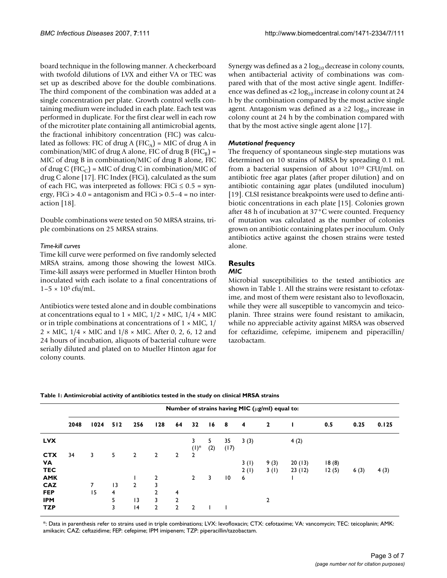board technique in the following manner. A checkerboard with twofold dilutions of LVX and either VA or TEC was set up as described above for the double combinations. The third component of the combination was added at a single concentration per plate. Growth control wells containing medium were included in each plate. Each test was performed in duplicate. For the first clear well in each row of the microtiter plate containing all antimicrobial agents, the fractional inhibitory concentration (FIC) was calculated as follows: FIC of drug A (FIC<sub>A</sub>) = MIC of drug A in combination/MIC of drug A alone, FIC of drug B (FIC $_B$ ) = MIC of drug B in combination/MIC of drug B alone, FIC of drug C (FIC<sub>C</sub>) = MIC of drug C in combination/MIC of drug C alone [17]. FIC Index (FICi), calculated as the sum of each FIC, was interpreted as follows: FICi  $\leq 0.5$  = synergy, FICi  $> 4.0$  = antagonism and FICi  $> 0.5-4$  = no interaction [18].

Double combinations were tested on 50 MRSA strains, triple combinations on 25 MRSA strains.

#### *Time-kill curves*

Time kill curve were performed on five randomly selected MRSA strains, among those showing the lowest MICs. Time-kill assays were performed in Mueller Hinton broth inoculated with each isolate to a final concentrations of  $1-5 \times 10^5$  cfu/mL.

Antibiotics were tested alone and in double combinations at concentrations equal to  $1 \times$  MIC,  $1/2 \times$  MIC,  $1/4 \times$  MIC or in triple combinations at concentrations of  $1 \times$  MIC,  $1/$ 2 × MIC,  $1/4$  × MIC and  $1/8$  × MIC. After 0, 2, 6, 12 and 24 hours of incubation, aliquots of bacterial culture were serially diluted and plated on to Mueller Hinton agar for colony counts.

Synergy was defined as a 2  $log_{10}$  decrease in colony counts, when antibacterial activity of combinations was compared with that of the most active single agent. Indifference was defined as <2  $log_{10}$  increase in colony count at 24 h by the combination compared by the most active single agent. Antagonism was defined as a  $\geq 2 \log_{10}$  increase in colony count at 24 h by the combination compared with that by the most active single agent alone [17].

#### *Mutational frequency*

The frequency of spontaneous single-step mutations was determined on 10 strains of MRSA by spreading 0.1 mL from a bacterial suspension of about 1010 CFU/mL on antibiotic free agar plates (after proper dilution) and on antibiotic containing agar plates (undiluted inoculum) [19]. CLSI resistance breakpoints were used to define antibiotic concentrations in each plate [15]. Colonies grown after 48 h of incubation at 37°C were counted. Frequency of mutation was calculated as the number of colonies grown on antibiotic containing plates per inoculum. Only antibiotics active against the chosen strains were tested alone.

# **Results**

# *MIC*

Microbial susceptibilities to the tested antibiotics are shown in Table 1. All the strains were resistant to cefotaxime, and most of them were resistant also to levofloxacin, while they were all susceptible to vancomycin and teicoplanin. Three strains were found resistant to amikacin, while no appreciable activity against MRSA was observed for ceftazidime, cefepime, imipenem and piperacillin/ tazobactam.

|            | Number of strains having MIC (µg/ml) equal to: |      |                |                |                |                |                |           |                         |                  |                |        |       |      |       |
|------------|------------------------------------------------|------|----------------|----------------|----------------|----------------|----------------|-----------|-------------------------|------------------|----------------|--------|-------|------|-------|
|            | 2048                                           | 1024 | 512            | 256            | 128            | 64             | 32             | 16        | $\overline{\mathbf{8}}$ | $\boldsymbol{4}$ | $\mathbf 2$    |        | 0.5   | 0.25 | 0.125 |
| <b>LVX</b> |                                                |      |                |                |                |                | 3<br>$(1)^*$   | 5.<br>(2) | 35<br>(17)              | 3(3)             |                | 4(2)   |       |      |       |
| <b>CTX</b> | 34                                             | 3    | 5              | $\overline{2}$ | $\overline{2}$ | $\overline{2}$ | $\overline{2}$ |           |                         |                  |                |        |       |      |       |
| <b>VA</b>  |                                                |      |                |                |                |                |                |           |                         | 3(1)             | 9(3)           | 20(13) | 18(8) |      |       |
| <b>TEC</b> |                                                |      |                |                |                |                |                |           |                         | 2(1)             | 3(1)           | 23(12) | 12(5) | 6(3) | 4(3)  |
| <b>AMK</b> |                                                |      |                |                | $\overline{2}$ |                | $\overline{2}$ | 3         | 10                      | 6                |                |        |       |      |       |
| <b>CAZ</b> |                                                | 7    | 13             | $\overline{2}$ | 3              |                |                |           |                         |                  |                |        |       |      |       |
| <b>FEP</b> |                                                | 15   | $\overline{4}$ |                | $\mathbf{2}$   | $\overline{4}$ |                |           |                         |                  |                |        |       |      |       |
| <b>IPM</b> |                                                |      | 5              | 13             | 3              | $\overline{2}$ |                |           |                         |                  | $\overline{2}$ |        |       |      |       |
| <b>TZP</b> |                                                |      | 3              | 4              | $\overline{2}$ | $\overline{2}$ | $\overline{2}$ |           |                         |                  |                |        |       |      |       |

**Table 1: Antimicrobial activity of antibiotics tested in the study on clinical MRSA strains**

\*: Data in parenthesis refer to strains used in triple combinations; LVX: levofloxacin; CTX: cefotaxime; VA: vancomycin; TEC: teicoplanin; AMK: amikacin; CAZ: ceftazidime; FEP: cefepime; IPM imipenem; TZP: piperacillin/tazobactam.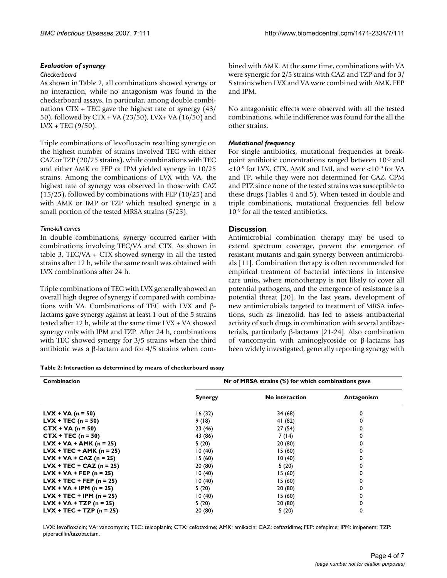### *Evaluation of synergy*

#### *Checkerboard*

As shown in Table 2, all combinations showed synergy or no interaction, while no antagonism was found in the checkerboard assays. In particular, among double combinations CTX + TEC gave the highest rate of synergy (43/ 50), followed by CTX + VA (23/50), LVX+ VA (16/50) and  $Lvx + TEC (9/50)$ .

Triple combinations of levofloxacin resulting synergic on the highest number of strains involved TEC with either CAZ or TZP (20/25 strains), while combinations with TEC and either AMK or FEP or IPM yielded synergy in 10/25 strains. Among the combinations of LVX with VA, the highest rate of synergy was observed in those with CAZ (15/25), followed by combinations with FEP (10/25) and with AMK or IMP or TZP which resulted synergic in a small portion of the tested MRSA strains (5/25).

## *Time-kill curves*

In double combinations, synergy occurred earlier with combinations involving TEC/VA and CTX. As shown in table 3,  $TEC/VA + CTX$  showed synergy in all the tested strains after 12 h, while the same result was obtained with LVX combinations after 24 h.

Triple combinations of TEC with LVX generally showed an overall high degree of synergy if compared with combinations with VA. Combinations of TEC with LVX and βlactams gave synergy against at least 1 out of the 5 strains tested after 12 h, while at the same time LVX + VA showed synergy only with IPM and TZP. After 24 h, combinations with TEC showed synergy for 3/5 strains when the third antibiotic was a β-lactam and for  $4/5$  strains when com-

**Table 2: Interaction as determined by means of checkerboard assay**

bined with AMK. At the same time, combinations with VA were synergic for 2/5 strains with CAZ and TZP and for 3/ 5 strains when LVX and VA were combined with AMK, FEP and IPM.

No antagonistic effects were observed with all the tested combinations, while indifference was found for the all the other strains.

# *Mutational frequency*

For single antibiotics, mutational frequencies at breakpoint antibiotic concentrations ranged between 10-5 and <10-9 for LVX, CTX, AMK and IMI, and were <10-9 for VA and TP, while they were not determined for CAZ, CPM and PTZ since none of the tested strains was susceptible to these drugs (Tables 4 and 5). When tested in double and triple combinations, mutational frequencies fell below 10-9 for all the tested antibiotics.

# **Discussion**

Antimicrobial combination therapy may be used to extend spectrum coverage, prevent the emergence of resistant mutants and gain synergy between antimicrobials [11]. Combination therapy is often recommended for empirical treatment of bacterial infections in intensive care units, where monotherapy is not likely to cover all potential pathogens, and the emergence of resistance is a potential threat [20]. In the last years, development of new antimicrobials targeted to treatment of MRSA infections, such as linezolid, has led to assess antibacterial activity of such drugs in combination with several antibacterials, particularly β-lactams [21-24]. Also combination of vancomycin with aminoglycoside or β-lactams has been widely investigated, generally reporting synergy with

| Combination                | Nr of MRSA strains (%) for which combinations gave |                |            |  |  |  |
|----------------------------|----------------------------------------------------|----------------|------------|--|--|--|
|                            | <b>Synergy</b>                                     | No interaction | Antagonism |  |  |  |
| $LVX + VA$ (n = 50)        | 16(32)                                             | 34 (68)        |            |  |  |  |
| $LVX + TEC (n = 50)$       | 9(18)                                              | 41 (82)        |            |  |  |  |
| $CTX + VA$ (n = 50)        | 23(46)                                             | 27(54)         |            |  |  |  |
| $CTX + TEC (n = 50)$       | 43 (86)                                            | 7(14)          |            |  |  |  |
| $LVX + VA + AMK (n = 25)$  | 5(20)                                              | 20(80)         |            |  |  |  |
| $LVX + TEC + AMK (n = 25)$ | 10(40)                                             | 15(60)         |            |  |  |  |
| $LVX + VA + CAZ (n = 25)$  | 15(60)                                             | 10(40)         |            |  |  |  |
| $LVX + TEC + CAZ (n = 25)$ | 20(80)                                             | 5(20)          |            |  |  |  |
| $LVX + VA + FEP (n = 25)$  | 10(40)                                             | 15(60)         |            |  |  |  |
| $LVX + TEC + FEP (n = 25)$ | 10(40)                                             | 15(60)         |            |  |  |  |
| $LVX + VA + IPM (n = 25)$  | 5(20)                                              | 20(80)         |            |  |  |  |
| $LVX + TEC + IPM (n = 25)$ | 10(40)                                             | 15(60)         |            |  |  |  |
| $LVX + VA + TZP (n = 25)$  | 5(20)                                              | 20(80)         |            |  |  |  |
| $LVX + TEC + TZP (n = 25)$ | 20(80)                                             | 5(20)          |            |  |  |  |

LVX: levofloxacin; VA: vancomycin; TEC: teicoplanin; CTX: cefotaxime; AMK: amikacin; CAZ: ceftazidime; FEP: cefepime; IPM: imipenem; TZP: piperacillin/tazobactam.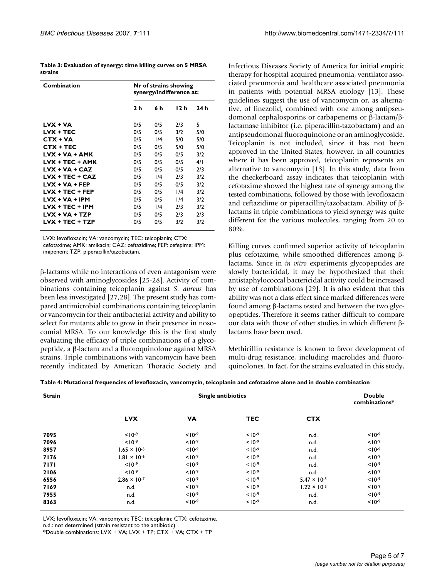| Table 3: Evaluation of synergy: time killing curves on 5 MRSA |  |
|---------------------------------------------------------------|--|
| strains                                                       |  |

| Combination       | Nr of strains showing<br>synergy/indifference at: |     |      |      |  |  |
|-------------------|---------------------------------------------------|-----|------|------|--|--|
|                   | 2 h                                               | 6 h | 12 h | 24 h |  |  |
| LVX + VA          | 0/5                                               | 0/5 | 2/3  | 5    |  |  |
| <b>LVX + TEC</b>  | 0/5                                               | 0/5 | 3/2  | 5/0  |  |  |
| CTX + VA          | 0/5                                               | 1/4 | 5/0  | 5/0  |  |  |
| CTX + TEC         | 0/5                                               | 0/5 | 5/0  | 5/0  |  |  |
| LVX + VA + AMK    | 0/5                                               | 0/5 | 0/5  | 3/2  |  |  |
| $LVX + TEC + AMK$ | 0/5                                               | 0/5 | 0/5  | 4/1  |  |  |
| $LVX + VA + CAZ$  | 0/5                                               | 0/5 | 0/5  | 2/3  |  |  |
| LVX + TEC + CAZ   | 0/5                                               | 1/4 | 2/3  | 3/2  |  |  |
| $LVX + VA + FEP$  | 0/5                                               | 0/5 | 0/5  | 3/2  |  |  |
| $LVX + TEC + FEP$ | 0/5                                               | 0/5 | 1/4  | 3/2  |  |  |
| LVX + VA + IPM    | 0/5                                               | 0/5 | 1/4  | 3/2  |  |  |
| $LVX + TEC + IPM$ | 0/5                                               | 1/4 | 2/3  | 3/2  |  |  |
| $LVX + VA + TZP$  | 0/5                                               | 0/5 | 2/3  | 2/3  |  |  |
| $LVX + TEC + TZP$ | 0/5                                               | 0/5 | 3/2  | 3/2  |  |  |

LVX: levofloxacin; VA: vancomycin; TEC: teicoplanin; CTX: cefotaxime; AMK: amikacin; CAZ: ceftazidime; FEP: cefepime; IPM: imipenem; TZP: piperacillin/tazobactam.

β-lactams while no interactions of even antagonism were observed with aminoglycosides [25-28]. Activity of combinations containing teicoplanin against *S. aureus* has been less investigated [[27](#page-6-0),28]. The present study has compared antimicrobial combinations containing teicoplanin or vancomycin for their antibacterial activity and ability to select for mutants able to grow in their presence in nosocomial MRSA. To our knowledge this is the first study evaluating the efficacy of triple combinations of a glycopeptide, a β-lactam and a fluoroquinolone against MRSA strains. Triple combinations with vancomycin have been recently indicated by American Thoracic Society and Infectious Diseases Society of America for initial empiric therapy for hospital acquired pneumonia, ventilator associated pneumonia and healthcare associated pneumonia in patients with potential MRSA etiology [13]. These guidelines suggest the use of vancomycin or, as alternative, of linezolid, combined with one among antipseudomonal cephalosporins or carbapenems or β-lactam/βlactamase inhibitor (i.e. piperacillin-tazobactam) and an antipseudomonal fluoroquinolone or an aminoglycoside. Teicoplanin is not included, since it has not been approved in the United States, however, in all countries where it has been approved, teicoplanin represents an alternative to vancomycin [13]. In this study, data from the checkerboard assay indicates that teicoplanin with cefotaxime showed the highest rate of synergy among the tested combinations, followed by those with levofloxacin and ceftazidime or piperacillin/tazobactam. Ability of βlactams in triple combinations to yield synergy was quite different for the various molecules, ranging from 20 to 80%.

Killing curves confirmed superior activity of teicoplanin plus cefotaxime, while smoothed differences among βlactams. Since in *in vitro* experiments glycopeptides are slowly bactericidal, it may be hypothesized that their antistaphylococcal bactericidal activity could be increased by use of combinations [29]. It is also evident that this ability was not a class effect since marked differences were found among β-lactams tested and between the two glycopeptides. Therefore it seems rather difficult to compare our data with those of other studies in which different βlactams have been used.

Methicillin resistance is known to favor development of multi-drug resistance, including macrolides and fluoroquinolones. In fact, for the strains evaluated in this study,

| Table 4: Mutational frequencies of levofloxacin, vancomycin, teicoplanin and cefotaxime alone and in double combination |  |  |  |  |  |
|-------------------------------------------------------------------------------------------------------------------------|--|--|--|--|--|
|-------------------------------------------------------------------------------------------------------------------------|--|--|--|--|--|

| <b>Strain</b> |                       | <b>Double</b><br>combinations* |             |                       |             |
|---------------|-----------------------|--------------------------------|-------------|-----------------------|-------------|
|               | <b>LVX</b>            | VA                             | <b>TEC</b>  | <b>CTX</b>            |             |
| 7095          | $< 10^{-9}$           | $< 10^{-9}$                    | $10^{-9}$   | n.d.                  | $< 10^{-9}$ |
| 7096          | $< 10^{-9}$           | $< 10^{-9}$                    | $< 10-9$    | n.d.                  | $< 10-9$    |
| 8957          | $1.65 \times 10^{-5}$ | $< 10^{-9}$                    | $< 10^{-9}$ | n.d.                  | $< 10^{-9}$ |
| 7176          | $1.81 \times 10^{-6}$ | $< 10^{-9}$                    | $< 10^{-9}$ | n.d.                  | $< 10^{-9}$ |
| 7171          | $< 10-9$              | $< 10^{-9}$                    | $< 10-9$    | n.d.                  | $< 10-9$    |
| 2106          | $< 10^{-9}$           | $< 10^{-9}$                    | $< 10^{-9}$ | n.d.                  | $< 10^{-9}$ |
| 6556          | $2.86 \times 10^{-7}$ | $< 10^{-9}$                    | $< 10^{-9}$ | $5.47 \times 10^{-5}$ | $< 10^{-9}$ |
| 7169          | n.d.                  | $< 10^{-9}$                    | $< 10-9$    | $1.22 \times 10^{-5}$ | $< 10-9$    |
| 7955          | n.d.                  | $< 10^{-9}$                    | $< 10^{-9}$ | n.d.                  | $< 10^{-9}$ |
| 8363          | n.d.                  | $< 10^{-9}$                    | $< 10^{-9}$ | n.d.                  | $< 10^{-9}$ |

LVX: levofloxacin; VA: vancomycin; TEC: teicoplanin; CTX: cefotaxime.

n.d.: not determined (strain resistant to the antibiotic)

\*Double combinations: LVX + VA; LVX + TP; CTX + VA; CTX + TP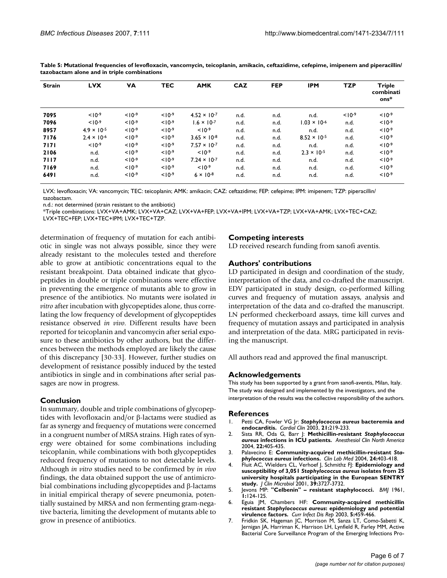| <b>Strain</b> | <b>LVX</b>           | ٧A          | <b>TEC</b>  | <b>AMK</b>            | <b>CAZ</b> | <b>FEP</b> | <b>IPM</b>            | <b>TZP</b>  | Triple<br>combinati<br>ons* |
|---------------|----------------------|-------------|-------------|-----------------------|------------|------------|-----------------------|-------------|-----------------------------|
| 7095          | $< 10^{-9}$          | $< 10^{-9}$ | $< 10^{-9}$ | $4.52 \times 10^{-7}$ | n.d.       | n.d.       | n.d.                  | $< 10^{-9}$ | $< 10^{-9}$                 |
| 7096          | $< 10^{-9}$          | $< 10^{-9}$ | $< 10-9$    | $1.6 \times 10^{-7}$  | n.d.       | n.d.       | $1.03 \times 10^{-6}$ | n.d.        | $< 10^{-9}$                 |
| 8957          | $4.9 \times 10^{-5}$ | $< 10^{-9}$ | $< 10-9$    | $< 10-9$              | n.d.       | n.d.       | n.d.                  | n.d.        | $< 10^{-9}$                 |
| 7176          | $2.4 \times 10^{-6}$ | $< 10^{-9}$ | $< 10^{-9}$ | $3.65 \times 10^{-8}$ | n.d.       | n.d.       | $8.52 \times 10^{-5}$ | n.d.        | $< 10^{-9}$                 |
| 7171          | $10^{-9}$            | $< 10^{-9}$ | $< 10^{-9}$ | $7.57 \times 10^{-7}$ | n.d.       | n.d.       | n.d.                  | n.d.        | $< 10^{-9}$                 |
| 2106          | n.d.                 | $< 10^{-9}$ | $< 10-9$    | $< 10-9$              | n.d.       | n.d.       | $2.3 \times 10^{-5}$  | n.d.        | $< 10^{-9}$                 |
| 7117          | n.d.                 | $< 10^{-9}$ | $< 10^{-9}$ | $7.24 \times 10^{-7}$ | n.d.       | n.d.       | n.d.                  | n.d.        | $< 10^{-9}$                 |
| 7169          | n.d.                 | $< 10^{-9}$ | $< 10-9$    | $< 10-9$              | n.d.       | n.d.       | n.d.                  | n.d.        | $< 10^{-9}$                 |
| 6491          | n.d.                 | $< 10^{-9}$ | $< 10-9$    | $6 \times 10^{-8}$    | n.d.       | n.d.       | n.d.                  | n.d.        | $< 10^{-9}$                 |

**Table 5: Mutational frequencies of levofloxacin, vancomycin, teicoplanin, amikacin, ceftazidime, cefepime, imipenem and piperacillin/ tazobactam alone and in triple combinations**

LVX: levofloxacin; VA: vancomycin; TEC: teicoplanin; AMK: amikacin; CAZ: ceftazidime; FEP: cefepime; IPM: imipenem; TZP: piperacillin/ tazobactam.

n.d.: not determined (strain resistant to the antibiotic)

\*Triple combinations: LVX+VA+AMK; LVX+VA+CAZ; LVX+VA+FEP; LVX+VA+IPM; LVX+VA+TZP; LVX+VA+AMK; LVX+TEC+CAZ;

LVX+TEC+FEP; LVX+TEC+IPM; LVX+TEC+TZP.

determination of frequency of mutation for each antibiotic in single was not always possible, since they were already resistant to the molecules tested and therefore able to grow at antibiotic concentrations equal to the resistant breakpoint. Data obtained indicate that glycopeptides in double or triple combinations were effective in preventing the emergence of mutants able to grow in presence of the antibiotics. No mutants were isolated *in vitro* after incubation with glycopeptides alone, thus correlating the low frequency of development of glycopeptides resistance observed *in vivo*. Different results have been reported for teicoplanin and vancomycin after serial exposure to these antibiotics by other authors, but the differences between the methods employed are likely the cause of this discrepancy [30-33]. However, further studies on development of resistance possibly induced by the tested antibiotics in single and in combinations after serial passages are now in progress.

#### **Conclusion**

In summary, double and triple combinations of glycopeptides with levofloxacin and/or β-lactams were studied as far as synergy and frequency of mutations were concerned in a congruent number of MRSA strains. High rates of synergy were obtained for some combinations including teicoplanin, while combinations with both glycopeptides reduced frequency of mutations to not detectable levels. Although *in vitro* studies need to be confirmed by *in vivo* findings, the data obtained support the use of antimicrobial combinations including glycopeptides and β-lactams in initial empirical therapy of severe pneumonia, potentially sustained by MRSA and non fermenting gram-negative bacteria, limiting the development of mutants able to grow in presence of antibiotics.

#### **Competing interests**

LD received research funding from sanofi aventis.

#### **Authors' contributions**

LD participated in design and coordination of the study, interpretation of the data, and co-drafted the manuscript. EDV participated in study design, co-performed killing curves and frequency of mutation assays, analysis and interpretation of the data and co-drafted the manuscript. LN performed checkerboard assays, time kill curves and frequency of mutation assays and participated in analysis and interpretation of the data. MRG participated in revising the manuscript.

All authors read and approved the final manuscript.

#### **Acknowledgements**

This study has been supported by a grant from sanofi-aventis, Milan, Italy. The study was designed and implemented by the investigators, and the interpretation of the results was the collective responsibility of the authors.

#### **References**

- 1. Petti CA, Fowler VG Jr: *Staphylococcus aureus* **[bacteremia and](http://www.ncbi.nlm.nih.gov/entrez/query.fcgi?cmd=Retrieve&db=PubMed&dopt=Abstract&list_uids=12874895) [endocarditis.](http://www.ncbi.nlm.nih.gov/entrez/query.fcgi?cmd=Retrieve&db=PubMed&dopt=Abstract&list_uids=12874895)** *Cardiol Clin* 2003, **21:**219-233.
- 2. Sista RR, Oda G, Barr J: **Methicillin-resistant** *Staphylococcus aureus* **[infections in ICU patients.](http://www.ncbi.nlm.nih.gov/entrez/query.fcgi?cmd=Retrieve&db=PubMed&dopt=Abstract&list_uids=15325711)** *Anesthesiol Clin North America* 2004, **22:**405-435.
- 3. Palavecino E: **Community-acquired methicillin-resistant** *Staphylococcus aureus* **[infections.](http://www.ncbi.nlm.nih.gov/entrez/query.fcgi?cmd=Retrieve&db=PubMed&dopt=Abstract&list_uids=15177847)** *Clin Lab Med* 2004, **24:**403-418.
- 4. Fluit AC, Wielders CL, Verhoef J, Schmithz FJ: **Epidemiology and susceptibility of 3,051** *Staphylococcus aureus* **[isolates from 25](http://www.ncbi.nlm.nih.gov/entrez/query.fcgi?cmd=Retrieve&db=PubMed&dopt=Abstract&list_uids=11574603) [university hospitals participating in the European SENTRY](http://www.ncbi.nlm.nih.gov/entrez/query.fcgi?cmd=Retrieve&db=PubMed&dopt=Abstract&list_uids=11574603) [study.](http://www.ncbi.nlm.nih.gov/entrez/query.fcgi?cmd=Retrieve&db=PubMed&dopt=Abstract&list_uids=11574603)** *J Clin Microbiol* 2001, **39:**3727-3732.
- 5. Jevons MP: **"Celbenin" resistant staphylococci.** *BMJ* 1961, **1:**124-125.
- 6. Eguia JM, Chambers HF: **Community-acquired methicillin resistant** *Staphylococcus aureus***[: epidemiology and potential](http://www.ncbi.nlm.nih.gov/entrez/query.fcgi?cmd=Retrieve&db=PubMed&dopt=Abstract&list_uids=14642185) [virulence factors.](http://www.ncbi.nlm.nih.gov/entrez/query.fcgi?cmd=Retrieve&db=PubMed&dopt=Abstract&list_uids=14642185)** *Curr Infect Dis Rep* 2003, **5:**459-466.
- 7. Fridkin SK, Hageman JC, Morrison M, Sanza LT, Como-Sabetti K, Jernigan JA, Harriman K, Harrison LH, Lynfield R, Farley MM, Active Bacterial Core Surveillance Program of the Emerging Infections Pro-